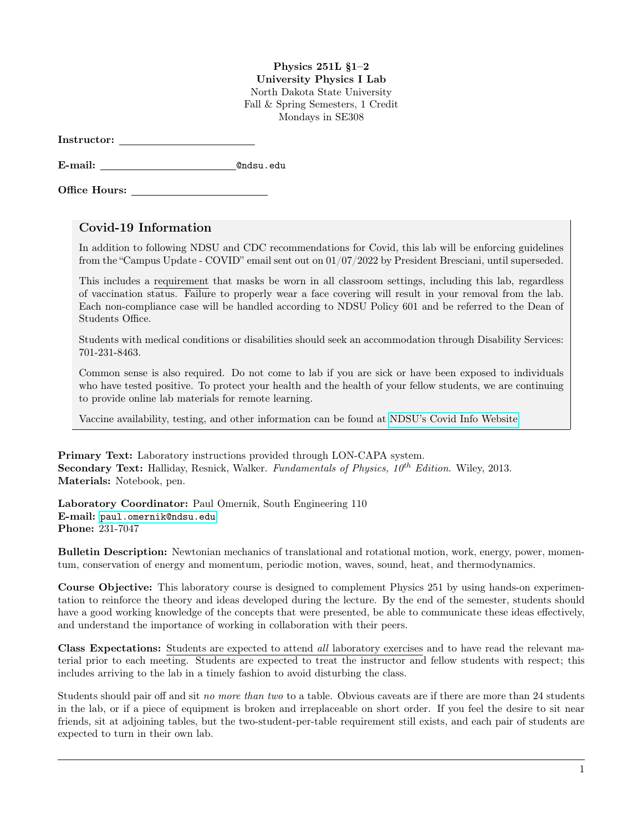## Physics 251L §1–2 University Physics I Lab North Dakota State University Fall & Spring Semesters, 1 Credit

Mondays in SE308

E-mail: @ndsu.edu

Office Hours:

## Covid-19 Information

In addition to following NDSU and CDC recommendations for Covid, this lab will be enforcing guidelines from the "Campus Update - COVID" email sent out on 01/07/2022 by President Bresciani, until superseded.

This includes a requirement that masks be worn in all classroom settings, including this lab, regardless of vaccination status. Failure to properly wear a face covering will result in your removal from the lab. Each non-compliance case will be handled according to NDSU Policy 601 and be referred to the Dean of Students Office.

Students with medical conditions or disabilities should seek an accommodation through Disability Services: 701-231-8463.

Common sense is also required. Do not come to lab if you are sick or have been exposed to individuals who have tested positive. To protect your health and the health of your fellow students, we are continuing to provide online lab materials for remote learning.

Vaccine availability, testing, and other information can be found at [NDSU's Covid Info Website.](https://www.ndsu.edu/studenthealthservice/patient_resources/covid_19_information/)

Primary Text: Laboratory instructions provided through LON-CAPA system. **Secondary Text:** Halliday, Resnick, Walker. Fundamentals of Physics,  $10^{th}$  Edition. Wiley, 2013. Materials: Notebook, pen.

Laboratory Coordinator: Paul Omernik, South Engineering 110 E-mail: <paul.omernik@ndsu.edu> Phone: 231-7047

Bulletin Description: Newtonian mechanics of translational and rotational motion, work, energy, power, momentum, conservation of energy and momentum, periodic motion, waves, sound, heat, and thermodynamics.

Course Objective: This laboratory course is designed to complement Physics 251 by using hands-on experimentation to reinforce the theory and ideas developed during the lecture. By the end of the semester, students should have a good working knowledge of the concepts that were presented, be able to communicate these ideas effectively, and understand the importance of working in collaboration with their peers.

Class Expectations: Students are expected to attend all laboratory exercises and to have read the relevant material prior to each meeting. Students are expected to treat the instructor and fellow students with respect; this includes arriving to the lab in a timely fashion to avoid disturbing the class.

Students should pair off and sit no more than two to a table. Obvious caveats are if there are more than 24 students in the lab, or if a piece of equipment is broken and irreplaceable on short order. If you feel the desire to sit near friends, sit at adjoining tables, but the two-student-per-table requirement still exists, and each pair of students are expected to turn in their own lab.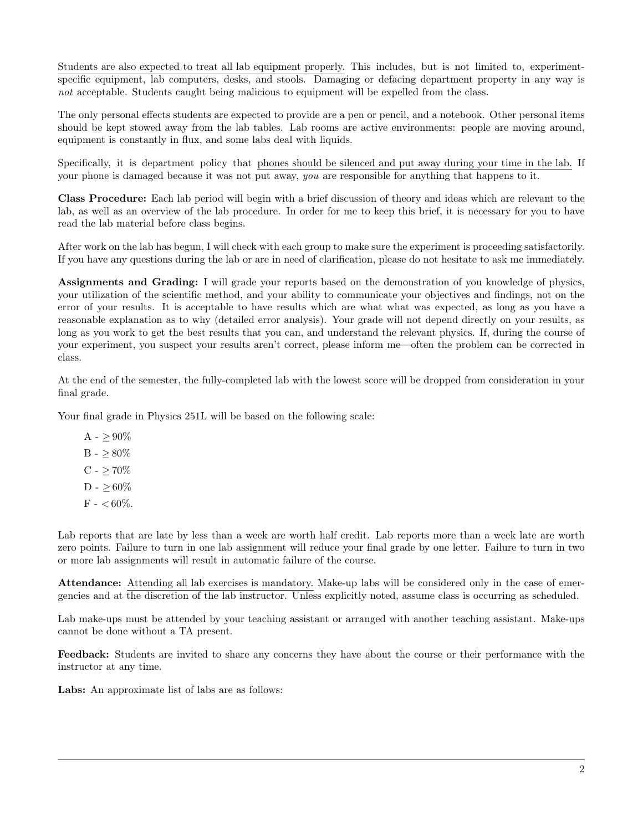Students are also expected to treat all lab equipment properly. This includes, but is not limited to, experimentspecific equipment, lab computers, desks, and stools. Damaging or defacing department property in any way is not acceptable. Students caught being malicious to equipment will be expelled from the class.

The only personal effects students are expected to provide are a pen or pencil, and a notebook. Other personal items should be kept stowed away from the lab tables. Lab rooms are active environments: people are moving around, equipment is constantly in flux, and some labs deal with liquids.

Specifically, it is department policy that phones should be silenced and put away during your time in the lab. If your phone is damaged because it was not put away, you are responsible for anything that happens to it.

Class Procedure: Each lab period will begin with a brief discussion of theory and ideas which are relevant to the lab, as well as an overview of the lab procedure. In order for me to keep this brief, it is necessary for you to have read the lab material before class begins.

After work on the lab has begun, I will check with each group to make sure the experiment is proceeding satisfactorily. If you have any questions during the lab or are in need of clarification, please do not hesitate to ask me immediately.

Assignments and Grading: I will grade your reports based on the demonstration of you knowledge of physics, your utilization of the scientific method, and your ability to communicate your objectives and findings, not on the error of your results. It is acceptable to have results which are what what was expected, as long as you have a reasonable explanation as to why (detailed error analysis). Your grade will not depend directly on your results, as long as you work to get the best results that you can, and understand the relevant physics. If, during the course of your experiment, you suspect your results aren't correct, please inform me—often the problem can be corrected in class.

At the end of the semester, the fully-completed lab with the lowest score will be dropped from consideration in your final grade.

Your final grade in Physics 251L will be based on the following scale:

 $A - \geq 90\%$ B -  $\geq 80\%$  $C - > 70\%$  $D - > 60\%$  $F -  $60\%$ .$ 

Lab reports that are late by less than a week are worth half credit. Lab reports more than a week late are worth zero points. Failure to turn in one lab assignment will reduce your final grade by one letter. Failure to turn in two or more lab assignments will result in automatic failure of the course.

Attendance: Attending all lab exercises is mandatory. Make-up labs will be considered only in the case of emergencies and at the discretion of the lab instructor. Unless explicitly noted, assume class is occurring as scheduled.

Lab make-ups must be attended by your teaching assistant or arranged with another teaching assistant. Make-ups cannot be done without a TA present.

Feedback: Students are invited to share any concerns they have about the course or their performance with the instructor at any time.

Labs: An approximate list of labs are as follows: